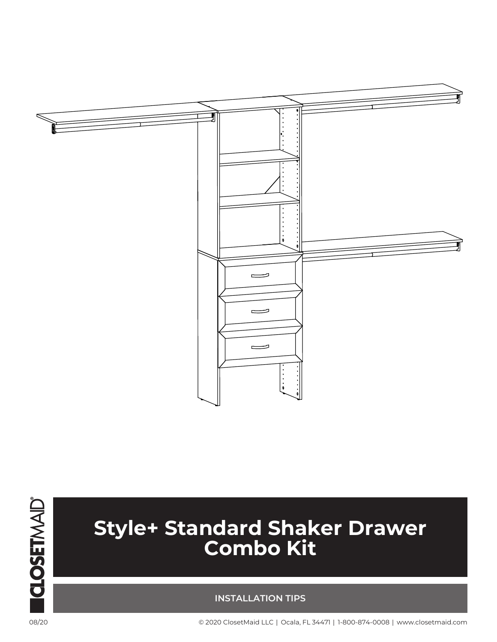



## **Style+ Standard Shaker Drawer Combo Kit**

## **INSTALLATION TIPS**

08/20 © 2020 ClosetMaid LLC | Ocala, FL 34471 | 1-800-874-0008 | www.closetmaid.com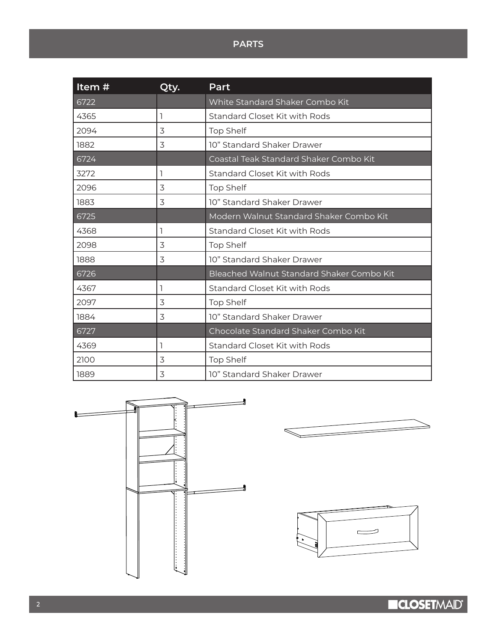## **PARTS**

| Item# | Qty. | Part                                      |
|-------|------|-------------------------------------------|
| 6722  |      | White Standard Shaker Combo Kit           |
| 4365  | ı    | Standard Closet Kit with Rods             |
| 2094  | 3    | <b>Top Shelf</b>                          |
| 1882  | 3    | 10" Standard Shaker Drawer                |
| 6724  |      | Coastal Teak Standard Shaker Combo Kit    |
| 3272  | 1    | Standard Closet Kit with Rods             |
| 2096  | 3    | <b>Top Shelf</b>                          |
| 1883  | 3    | 10" Standard Shaker Drawer                |
| 6725  |      | Modern Walnut Standard Shaker Combo Kit   |
| 4368  | ٦    | Standard Closet Kit with Rods             |
| 2098  | 3    | <b>Top Shelf</b>                          |
| 1888  | 3    | 10" Standard Shaker Drawer                |
| 6726  |      | Bleached Walnut Standard Shaker Combo Kit |
| 4367  | ı    | Standard Closet Kit with Rods             |
| 2097  | 3    | <b>Top Shelf</b>                          |
| 1884  | 3    | 10" Standard Shaker Drawer                |
| 6727  |      | Chocolate Standard Shaker Combo Kit       |
| 4369  | ٦    | Standard Closet Kit with Rods             |
| 2100  | 3    | <b>Top Shelf</b>                          |
| 1889  | 3    | 10" Standard Shaker Drawer                |



**ICLOSETMAID®** 

∍